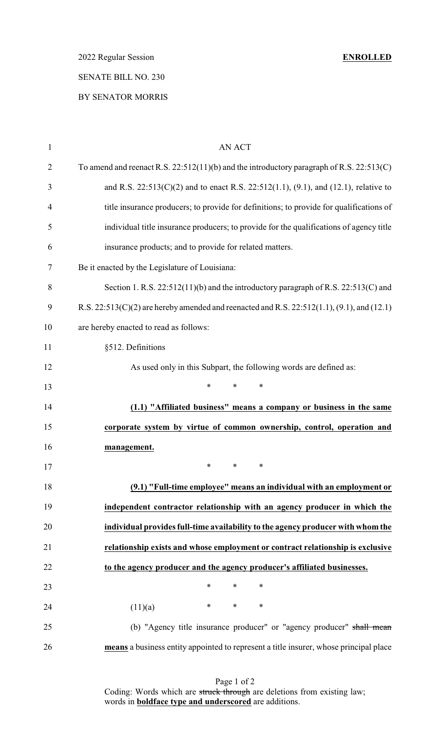2022 Regular Session **ENROLLED**

# SENATE BILL NO. 230

# BY SENATOR MORRIS

| $\mathbf{1}$   | <b>AN ACT</b>                                                                                        |
|----------------|------------------------------------------------------------------------------------------------------|
| $\overline{2}$ | To amend and reenact R.S. $22:512(11)(b)$ and the introductory paragraph of R.S. $22:513(C)$         |
| 3              | and R.S. $22:513(C)(2)$ and to enact R.S. $22:512(1.1)$ , $(9.1)$ , and $(12.1)$ , relative to       |
| $\overline{4}$ | title insurance producers; to provide for definitions; to provide for qualifications of              |
| 5              | individual title insurance producers; to provide for the qualifications of agency title              |
| 6              | insurance products; and to provide for related matters.                                              |
| 7              | Be it enacted by the Legislature of Louisiana:                                                       |
| 8              | Section 1. R.S. 22:512(11)(b) and the introductory paragraph of R.S. 22:513(C) and                   |
| 9              | R.S. $22:513(C)(2)$ are hereby amended and reenacted and R.S. $22:512(1.1)$ , $(9.1)$ , and $(12.1)$ |
| 10             | are hereby enacted to read as follows:                                                               |
| 11             | §512. Definitions                                                                                    |
| 12             | As used only in this Subpart, the following words are defined as:                                    |
| 13             | $\ast$<br>$\ast$<br>$\ast$                                                                           |
| 14             | (1.1) "Affiliated business" means a company or business in the same                                  |
| 15             | corporate system by virtue of common ownership, control, operation and                               |
| 16             | management.                                                                                          |
| 17             | ∗<br>∗<br>∗                                                                                          |
| 18             | (9.1) "Full-time employee" means an individual with an employment or                                 |
| 19             | independent contractor relationship with an agency producer in which the                             |
| 20             | individual provides full-time availability to the agency producer with whom the                      |
| 21             | relationship exists and whose employment or contract relationship is exclusive                       |
| 22             | to the agency producer and the agency producer's affiliated businesses.                              |
| 23             | $\ast$<br>$\ast$<br>$\ast$                                                                           |
| 24             | $\ast$<br>$*$ and $*$<br>$\ast$<br>(11)(a)                                                           |
| 25             | (b) "Agency title insurance producer" or "agency producer" shall mean                                |
| 26             | means a business entity appointed to represent a title insurer, whose principal place                |

Page 1 of 2 Coding: Words which are struck through are deletions from existing law; words in **boldface type and underscored** are additions.